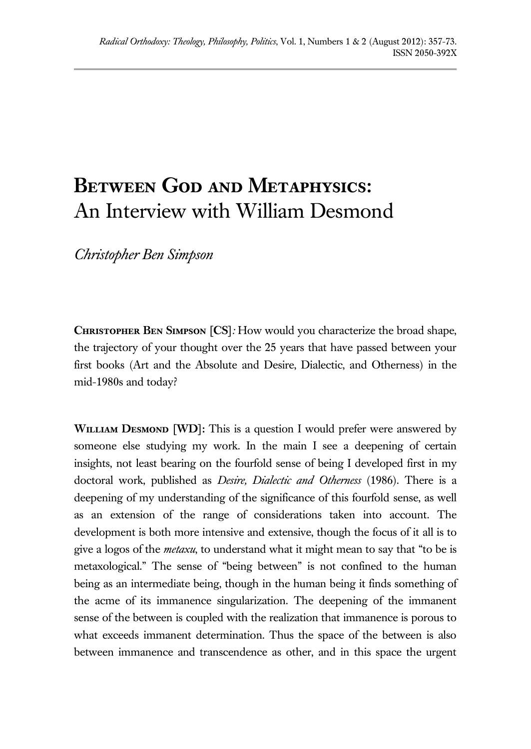## **Between God and Metaphysics:** An Interview with William Desmond

*Christopher Ben Simpson*

**Christopher Ben Simpson [CS]***:* How would you characterize the broad shape, the trajectory of your thought over the 25 years that have passed between your first books (Art and the Absolute and Desire, Dialectic, and Otherness) in the mid-1980s and today?

**WILLIAM DESMOND** [WD]: This is a question I would prefer were answered by someone else studying my work. In the main I see a deepening of certain insights, not least bearing on the fourfold sense of being I developed first in my doctoral work, published as *Desire, Dialectic and Otherness* (1986). There is a deepening of my understanding of the significance of this fourfold sense, as well as an extension of the range of considerations taken into account. The development is both more intensive and extensive, though the focus of it all is to give a logos of the *metaxu*, to understand what it might mean to say that "to be is metaxological." The sense of "being between" is not confined to the human being as an intermediate being, though in the human being it finds something of the acme of its immanence singularization. The deepening of the immanent sense of the between is coupled with the realization that immanence is porous to what exceeds immanent determination. Thus the space of the between is also between immanence and transcendence as other, and in this space the urgent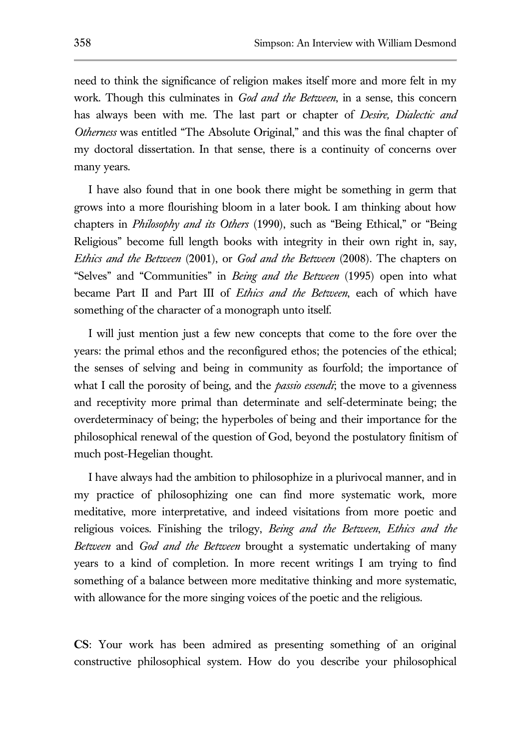need to think the significance of religion makes itself more and more felt in my work. Though this culminates in *God and the Between*, in a sense, this concern has always been with me. The last part or chapter of *Desire, Dialectic and Otherness* was entitled "The Absolute Original," and this was the final chapter of my doctoral dissertation. In that sense, there is a continuity of concerns over many years.

I have also found that in one book there might be something in germ that grows into a more flourishing bloom in a later book. I am thinking about how chapters in *Philosophy and its Others* (1990), such as "Being Ethical," or "Being Religious" become full length books with integrity in their own right in, say, *Ethics and the Between* (2001), or *God and the Between* (2008). The chapters on "Selves" and "Communities" in *Being and the Between* (1995) open into what became Part II and Part III of *Ethics and the Between*, each of which have something of the character of a monograph unto itself.

I will just mention just a few new concepts that come to the fore over the years: the primal ethos and the reconfigured ethos; the potencies of the ethical; the senses of selving and being in community as fourfold; the importance of what I call the porosity of being, and the *passio essendi*; the move to a givenness and receptivity more primal than determinate and self-determinate being; the overdeterminacy of being; the hyperboles of being and their importance for the philosophical renewal of the question of God, beyond the postulatory finitism of much post-Hegelian thought.

I have always had the ambition to philosophize in a plurivocal manner, and in my practice of philosophizing one can find more systematic work, more meditative, more interpretative, and indeed visitations from more poetic and religious voices. Finishing the trilogy, *Being and the Between*, *Ethics and the Between* and *God and the Between* brought a systematic undertaking of many years to a kind of completion. In more recent writings I am trying to find something of a balance between more meditative thinking and more systematic, with allowance for the more singing voices of the poetic and the religious.

**CS**: Your work has been admired as presenting something of an original constructive philosophical system. How do you describe your philosophical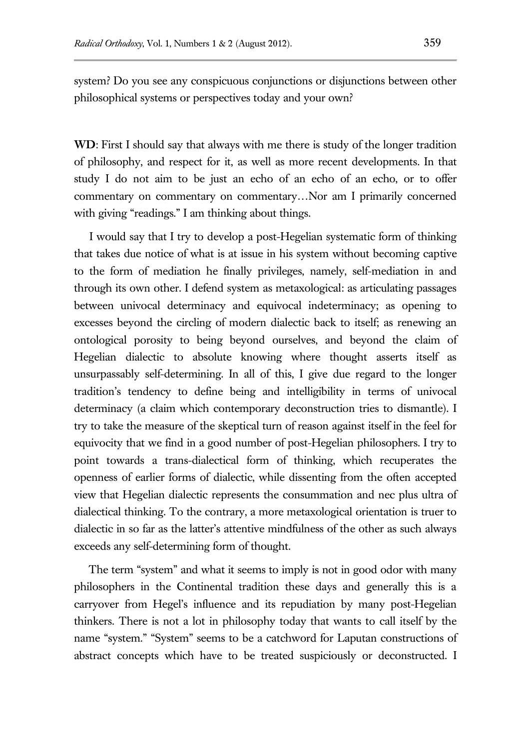system? Do you see any conspicuous conjunctions or disjunctions between other philosophical systems or perspectives today and your own?

**WD**: First I should say that always with me there is study of the longer tradition of philosophy, and respect for it, as well as more recent developments. In that study I do not aim to be just an echo of an echo of an echo, or to offer commentary on commentary on commentary…Nor am I primarily concerned with giving "readings." I am thinking about things.

 I would say that I try to develop a post-Hegelian systematic form of thinking that takes due notice of what is at issue in his system without becoming captive to the form of mediation he finally privileges, namely, self-mediation in and through its own other. I defend system as metaxological: as articulating passages between univocal determinacy and equivocal indeterminacy; as opening to excesses beyond the circling of modern dialectic back to itself; as renewing an ontological porosity to being beyond ourselves, and beyond the claim of Hegelian dialectic to absolute knowing where thought asserts itself as unsurpassably self-determining. In all of this, I give due regard to the longer tradition's tendency to define being and intelligibility in terms of univocal determinacy (a claim which contemporary deconstruction tries to dismantle). I try to take the measure of the skeptical turn of reason against itself in the feel for equivocity that we find in a good number of post-Hegelian philosophers. I try to point towards a trans-dialectical form of thinking, which recuperates the openness of earlier forms of dialectic, while dissenting from the often accepted view that Hegelian dialectic represents the consummation and nec plus ultra of dialectical thinking. To the contrary, a more metaxological orientation is truer to dialectic in so far as the latter's attentive mindfulness of the other as such always exceeds any self-determining form of thought.

The term "system" and what it seems to imply is not in good odor with many philosophers in the Continental tradition these days and generally this is a carryover from Hegel's influence and its repudiation by many post-Hegelian thinkers. There is not a lot in philosophy today that wants to call itself by the name "system." "System" seems to be a catchword for Laputan constructions of abstract concepts which have to be treated suspiciously or deconstructed. I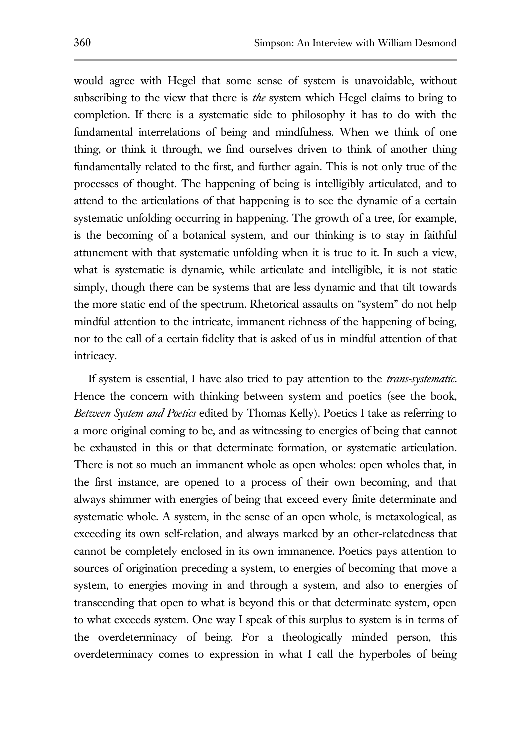would agree with Hegel that some sense of system is unavoidable, without subscribing to the view that there is *the* system which Hegel claims to bring to completion. If there is a systematic side to philosophy it has to do with the fundamental interrelations of being and mindfulness. When we think of one thing, or think it through, we find ourselves driven to think of another thing fundamentally related to the first, and further again. This is not only true of the processes of thought. The happening of being is intelligibly articulated, and to attend to the articulations of that happening is to see the dynamic of a certain systematic unfolding occurring in happening. The growth of a tree, for example, is the becoming of a botanical system, and our thinking is to stay in faithful attunement with that systematic unfolding when it is true to it. In such a view, what is systematic is dynamic, while articulate and intelligible, it is not static simply, though there can be systems that are less dynamic and that tilt towards the more static end of the spectrum. Rhetorical assaults on "system" do not help mindful attention to the intricate, immanent richness of the happening of being, nor to the call of a certain fidelity that is asked of us in mindful attention of that intricacy.

If system is essential, I have also tried to pay attention to the *trans-systematic*. Hence the concern with thinking between system and poetics (see the book, *Between System and Poetics* edited by Thomas Kelly). Poetics I take as referring to a more original coming to be, and as witnessing to energies of being that cannot be exhausted in this or that determinate formation, or systematic articulation. There is not so much an immanent whole as open wholes: open wholes that, in the first instance, are opened to a process of their own becoming, and that always shimmer with energies of being that exceed every finite determinate and systematic whole. A system, in the sense of an open whole, is metaxological, as exceeding its own self-relation, and always marked by an other-relatedness that cannot be completely enclosed in its own immanence. Poetics pays attention to sources of origination preceding a system, to energies of becoming that move a system, to energies moving in and through a system, and also to energies of transcending that open to what is beyond this or that determinate system, open to what exceeds system. One way I speak of this surplus to system is in terms of the overdeterminacy of being. For a theologically minded person, this overdeterminacy comes to expression in what I call the hyperboles of being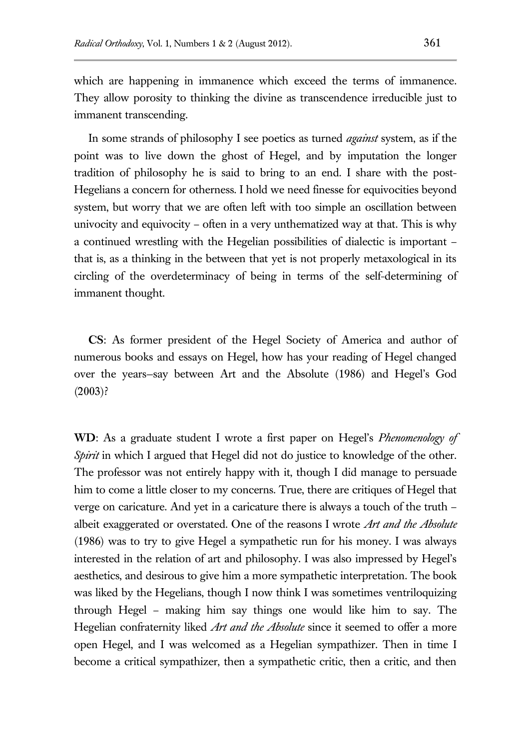which are happening in immanence which exceed the terms of immanence. They allow porosity to thinking the divine as transcendence irreducible just to immanent transcending.

In some strands of philosophy I see poetics as turned *against* system, as if the point was to live down the ghost of Hegel, and by imputation the longer tradition of philosophy he is said to bring to an end. I share with the post-Hegelians a concern for otherness. I hold we need finesse for equivocities beyond system, but worry that we are often left with too simple an oscillation between univocity and equivocity – often in a very unthematized way at that. This is why a continued wrestling with the Hegelian possibilities of dialectic is important – that is, as a thinking in the between that yet is not properly metaxological in its circling of the overdeterminacy of being in terms of the self-determining of immanent thought.

**CS**: As former president of the Hegel Society of America and author of numerous books and essays on Hegel, how has your reading of Hegel changed over the years—say between Art and the Absolute (1986) and Hegel's God (2003)?

**WD**: As a graduate student I wrote a first paper on Hegel's *Phenomenology of Spirit* in which I argued that Hegel did not do justice to knowledge of the other. The professor was not entirely happy with it, though I did manage to persuade him to come a little closer to my concerns. True, there are critiques of Hegel that verge on caricature. And yet in a caricature there is always a touch of the truth – albeit exaggerated or overstated. One of the reasons I wrote *Art and the Absolute* (1986) was to try to give Hegel a sympathetic run for his money. I was always interested in the relation of art and philosophy. I was also impressed by Hegel's aesthetics, and desirous to give him a more sympathetic interpretation. The book was liked by the Hegelians, though I now think I was sometimes ventriloquizing through Hegel – making him say things one would like him to say. The Hegelian confraternity liked *Art and the Absolute* since it seemed to offer a more open Hegel, and I was welcomed as a Hegelian sympathizer. Then in time I become a critical sympathizer, then a sympathetic critic, then a critic, and then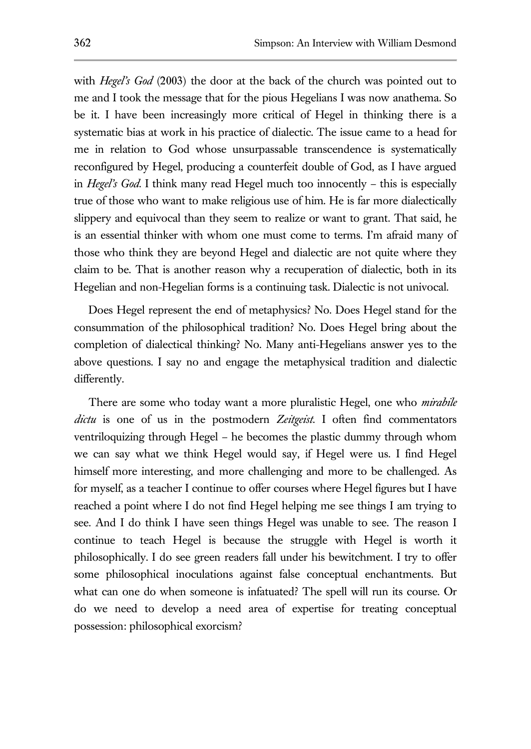with *Hegel's God* (2003) the door at the back of the church was pointed out to me and I took the message that for the pious Hegelians I was now anathema. So be it. I have been increasingly more critical of Hegel in thinking there is a systematic bias at work in his practice of dialectic. The issue came to a head for me in relation to God whose unsurpassable transcendence is systematically reconfigured by Hegel, producing a counterfeit double of God, as I have argued in *Hegel's God*. I think many read Hegel much too innocently – this is especially true of those who want to make religious use of him. He is far more dialectically slippery and equivocal than they seem to realize or want to grant. That said, he is an essential thinker with whom one must come to terms. I'm afraid many of those who think they are beyond Hegel and dialectic are not quite where they claim to be. That is another reason why a recuperation of dialectic, both in its Hegelian and non-Hegelian forms is a continuing task. Dialectic is not univocal.

Does Hegel represent the end of metaphysics? No. Does Hegel stand for the consummation of the philosophical tradition? No. Does Hegel bring about the completion of dialectical thinking? No. Many anti-Hegelians answer yes to the above questions. I say no and engage the metaphysical tradition and dialectic differently.

There are some who today want a more pluralistic Hegel, one who *mirabile dictu* is one of us in the postmodern *Zeitgeist*. I often find commentators ventriloquizing through Hegel – he becomes the plastic dummy through whom we can say what we think Hegel would say, if Hegel were us. I find Hegel himself more interesting, and more challenging and more to be challenged. As for myself, as a teacher I continue to offer courses where Hegel figures but I have reached a point where I do not find Hegel helping me see things I am trying to see. And I do think I have seen things Hegel was unable to see. The reason I continue to teach Hegel is because the struggle with Hegel is worth it philosophically. I do see green readers fall under his bewitchment. I try to offer some philosophical inoculations against false conceptual enchantments. But what can one do when someone is infatuated? The spell will run its course. Or do we need to develop a need area of expertise for treating conceptual possession: philosophical exorcism?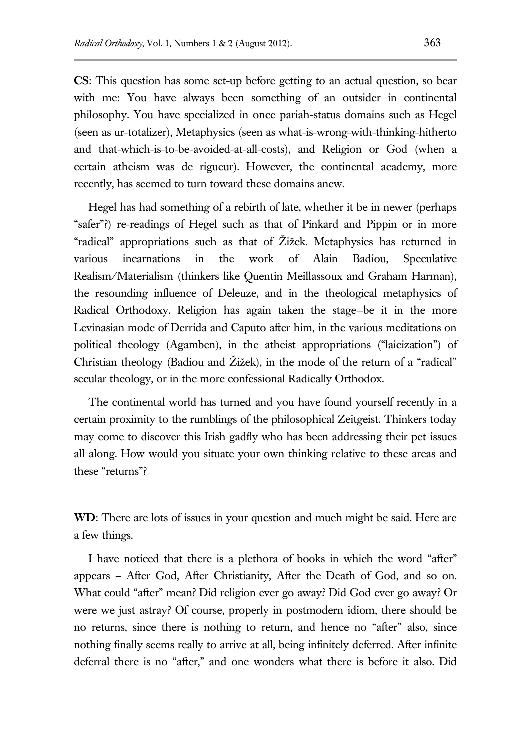**CS**: This question has some set-up before getting to an actual question, so bear with me: You have always been something of an outsider in continental philosophy. You have specialized in once pariah-status domains such as Hegel (seen as ur-totalizer), Metaphysics (seen as what-is-wrong-with-thinking-hitherto and that-which-is-to-be-avoided-at-all-costs), and Religion or God (when a certain atheism was de rigueur). However, the continental academy, more recently, has seemed to turn toward these domains anew.

Hegel has had something of a rebirth of late, whether it be in newer (perhaps "safer"?) re-readings of Hegel such as that of Pinkard and Pippin or in more "radical" appropriations such as that of Žižek. Metaphysics has returned in various incarnations in the work of Alain Badiou, Speculative Realism/Materialism (thinkers like Quentin Meillassoux and Graham Harman), the resounding influence of Deleuze, and in the theological metaphysics of Radical Orthodoxy. Religion has again taken the stage—be it in the more Levinasian mode of Derrida and Caputo after him, in the various meditations on political theology (Agamben), in the atheist appropriations ("laicization") of Christian theology (Badiou and Žižek), in the mode of the return of a "radical" secular theology, or in the more confessional Radically Orthodox.

The continental world has turned and you have found yourself recently in a certain proximity to the rumblings of the philosophical Zeitgeist. Thinkers today may come to discover this Irish gadfly who has been addressing their pet issues all along. How would you situate your own thinking relative to these areas and these "returns"?

**WD**: There are lots of issues in your question and much might be said. Here are a few things.

I have noticed that there is a plethora of books in which the word "after" appears – After God, After Christianity, After the Death of God, and so on. What could "after" mean? Did religion ever go away? Did God ever go away? Or were we just astray? Of course, properly in postmodern idiom, there should be no returns, since there is nothing to return, and hence no "after" also, since nothing finally seems really to arrive at all, being infinitely deferred. After infinite deferral there is no "after," and one wonders what there is before it also. Did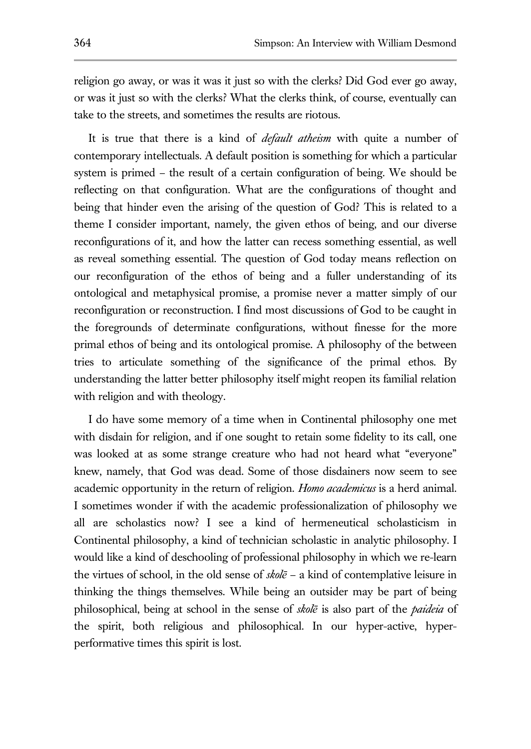religion go away, or was it was it just so with the clerks? Did God ever go away, or was it just so with the clerks? What the clerks think, of course, eventually can take to the streets, and sometimes the results are riotous.

It is true that there is a kind of *default atheism* with quite a number of contemporary intellectuals. A default position is something for which a particular system is primed – the result of a certain configuration of being. We should be reflecting on that configuration. What are the configurations of thought and being that hinder even the arising of the question of God? This is related to a theme I consider important, namely, the given ethos of being, and our diverse reconfigurations of it, and how the latter can recess something essential, as well as reveal something essential. The question of God today means reflection on our reconfiguration of the ethos of being and a fuller understanding of its ontological and metaphysical promise, a promise never a matter simply of our reconfiguration or reconstruction. I find most discussions of God to be caught in the foregrounds of determinate configurations, without finesse for the more primal ethos of being and its ontological promise. A philosophy of the between tries to articulate something of the significance of the primal ethos. By understanding the latter better philosophy itself might reopen its familial relation with religion and with theology.

I do have some memory of a time when in Continental philosophy one met with disdain for religion, and if one sought to retain some fidelity to its call, one was looked at as some strange creature who had not heard what "everyone" knew, namely, that God was dead. Some of those disdainers now seem to see academic opportunity in the return of religion. *Homo academicus* is a herd animal. I sometimes wonder if with the academic professionalization of philosophy we all are scholastics now? I see a kind of hermeneutical scholasticism in Continental philosophy, a kind of technician scholastic in analytic philosophy. I would like a kind of deschooling of professional philosophy in which we re-learn the virtues of school, in the old sense of *skolē* – a kind of contemplative leisure in thinking the things themselves. While being an outsider may be part of being philosophical, being at school in the sense of *skolē* is also part of the *paideia* of the spirit, both religious and philosophical. In our hyper-active, hyperperformative times this spirit is lost.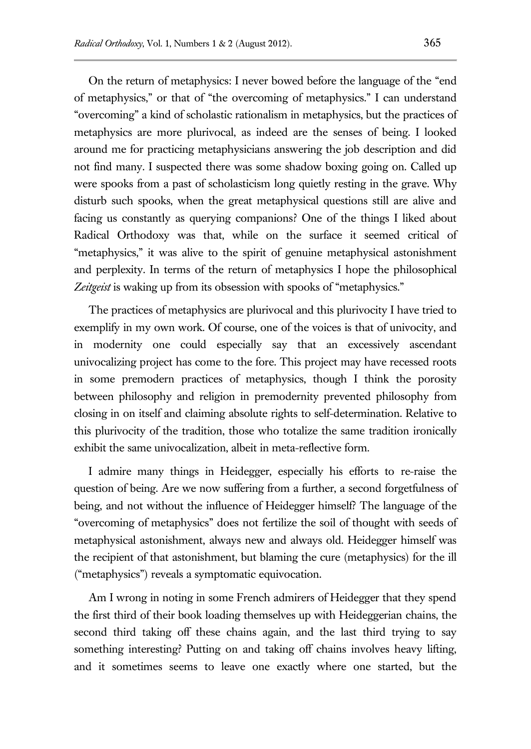On the return of metaphysics: I never bowed before the language of the "end of metaphysics," or that of "the overcoming of metaphysics." I can understand "overcoming" a kind of scholastic rationalism in metaphysics, but the practices of metaphysics are more plurivocal, as indeed are the senses of being. I looked around me for practicing metaphysicians answering the job description and did not find many. I suspected there was some shadow boxing going on. Called up were spooks from a past of scholasticism long quietly resting in the grave. Why disturb such spooks, when the great metaphysical questions still are alive and facing us constantly as querying companions? One of the things I liked about Radical Orthodoxy was that, while on the surface it seemed critical of "metaphysics," it was alive to the spirit of genuine metaphysical astonishment and perplexity. In terms of the return of metaphysics I hope the philosophical *Zeitgeist* is waking up from its obsession with spooks of "metaphysics."

The practices of metaphysics are plurivocal and this plurivocity I have tried to exemplify in my own work. Of course, one of the voices is that of univocity, and in modernity one could especially say that an excessively ascendant univocalizing project has come to the fore. This project may have recessed roots in some premodern practices of metaphysics, though I think the porosity between philosophy and religion in premodernity prevented philosophy from closing in on itself and claiming absolute rights to self-determination. Relative to this plurivocity of the tradition, those who totalize the same tradition ironically exhibit the same univocalization, albeit in meta-reflective form.

I admire many things in Heidegger, especially his efforts to re-raise the question of being. Are we now suffering from a further, a second forgetfulness of being, and not without the influence of Heidegger himself? The language of the "overcoming of metaphysics" does not fertilize the soil of thought with seeds of metaphysical astonishment, always new and always old. Heidegger himself was the recipient of that astonishment, but blaming the cure (metaphysics) for the ill ("metaphysics") reveals a symptomatic equivocation.

Am I wrong in noting in some French admirers of Heidegger that they spend the first third of their book loading themselves up with Heideggerian chains, the second third taking off these chains again, and the last third trying to say something interesting? Putting on and taking off chains involves heavy lifting, and it sometimes seems to leave one exactly where one started, but the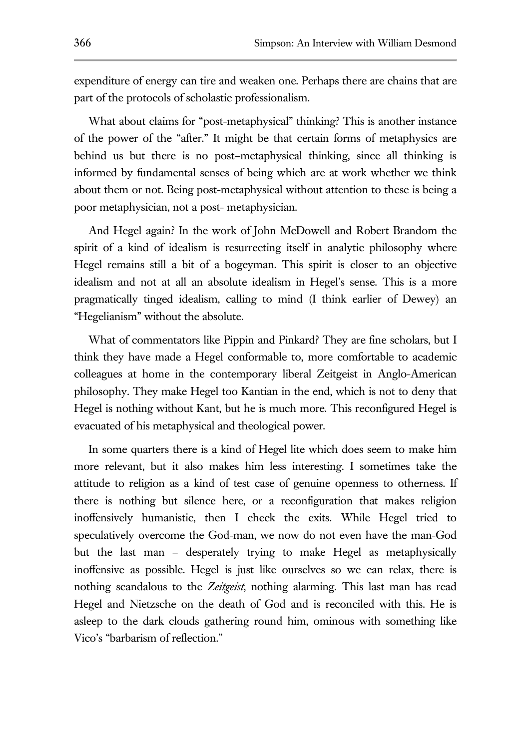expenditure of energy can tire and weaken one. Perhaps there are chains that are part of the protocols of scholastic professionalism.

What about claims for "post-metaphysical" thinking? This is another instance of the power of the "after." It might be that certain forms of metaphysics are behind us but there is no post–metaphysical thinking, since all thinking is informed by fundamental senses of being which are at work whether we think about them or not. Being post-metaphysical without attention to these is being a poor metaphysician, not a post- metaphysician.

And Hegel again? In the work of John McDowell and Robert Brandom the spirit of a kind of idealism is resurrecting itself in analytic philosophy where Hegel remains still a bit of a bogeyman. This spirit is closer to an objective idealism and not at all an absolute idealism in Hegel's sense. This is a more pragmatically tinged idealism, calling to mind (I think earlier of Dewey) an "Hegelianism" without the absolute.

What of commentators like Pippin and Pinkard? They are fine scholars, but I think they have made a Hegel conformable to, more comfortable to academic colleagues at home in the contemporary liberal Zeitgeist in Anglo-American philosophy. They make Hegel too Kantian in the end, which is not to deny that Hegel is nothing without Kant, but he is much more. This reconfigured Hegel is evacuated of his metaphysical and theological power.

In some quarters there is a kind of Hegel lite which does seem to make him more relevant, but it also makes him less interesting. I sometimes take the attitude to religion as a kind of test case of genuine openness to otherness. If there is nothing but silence here, or a reconfiguration that makes religion inoffensively humanistic, then I check the exits. While Hegel tried to speculatively overcome the God-man, we now do not even have the man-God but the last man – desperately trying to make Hegel as metaphysically inoffensive as possible. Hegel is just like ourselves so we can relax, there is nothing scandalous to the *Zeitgeist*, nothing alarming. This last man has read Hegel and Nietzsche on the death of God and is reconciled with this. He is asleep to the dark clouds gathering round him, ominous with something like Vico's "barbarism of reflection."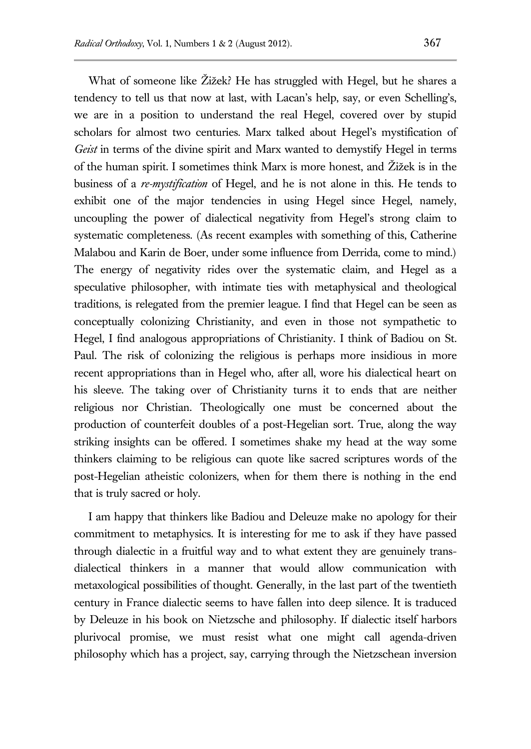What of someone like Žižek? He has struggled with Hegel, but he shares a tendency to tell us that now at last, with Lacan's help, say, or even Schelling's, we are in a position to understand the real Hegel, covered over by stupid scholars for almost two centuries. Marx talked about Hegel's mystification of *Geist* in terms of the divine spirit and Marx wanted to demystify Hegel in terms of the human spirit. I sometimes think Marx is more honest, and Žižek is in the business of a *re-mystification* of Hegel, and he is not alone in this. He tends to exhibit one of the major tendencies in using Hegel since Hegel, namely, uncoupling the power of dialectical negativity from Hegel's strong claim to systematic completeness. (As recent examples with something of this, Catherine Malabou and Karin de Boer, under some influence from Derrida, come to mind.) The energy of negativity rides over the systematic claim, and Hegel as a speculative philosopher, with intimate ties with metaphysical and theological traditions, is relegated from the premier league. I find that Hegel can be seen as conceptually colonizing Christianity, and even in those not sympathetic to Hegel, I find analogous appropriations of Christianity. I think of Badiou on St. Paul. The risk of colonizing the religious is perhaps more insidious in more recent appropriations than in Hegel who, after all, wore his dialectical heart on his sleeve. The taking over of Christianity turns it to ends that are neither religious nor Christian. Theologically one must be concerned about the production of counterfeit doubles of a post-Hegelian sort. True, along the way striking insights can be offered. I sometimes shake my head at the way some thinkers claiming to be religious can quote like sacred scriptures words of the post-Hegelian atheistic colonizers, when for them there is nothing in the end that is truly sacred or holy.

I am happy that thinkers like Badiou and Deleuze make no apology for their commitment to metaphysics. It is interesting for me to ask if they have passed through dialectic in a fruitful way and to what extent they are genuinely transdialectical thinkers in a manner that would allow communication with metaxological possibilities of thought. Generally, in the last part of the twentieth century in France dialectic seems to have fallen into deep silence. It is traduced by Deleuze in his book on Nietzsche and philosophy. If dialectic itself harbors plurivocal promise, we must resist what one might call agenda-driven philosophy which has a project, say, carrying through the Nietzschean inversion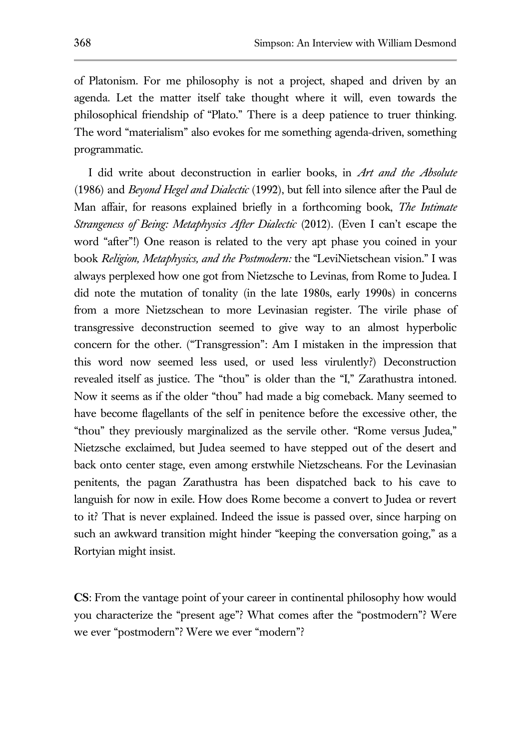of Platonism. For me philosophy is not a project, shaped and driven by an agenda. Let the matter itself take thought where it will, even towards the philosophical friendship of "Plato." There is a deep patience to truer thinking. The word "materialism" also evokes for me something agenda-driven, something programmatic.

I did write about deconstruction in earlier books, in *Art and the Absolute* (1986) and *Beyond Hegel and Dialectic* (1992), but fell into silence after the Paul de Man affair, for reasons explained briefly in a forthcoming book, *The Intimate Strangeness of Being: Metaphysics After Dialectic* (2012). (Even I can't escape the word "after"!) One reason is related to the very apt phase you coined in your book *Religion, Metaphysics, and the Postmodern:* the "LeviNietschean vision." I was always perplexed how one got from Nietzsche to Levinas, from Rome to Judea. I did note the mutation of tonality (in the late 1980s, early 1990s) in concerns from a more Nietzschean to more Levinasian register. The virile phase of transgressive deconstruction seemed to give way to an almost hyperbolic concern for the other. ("Transgression": Am I mistaken in the impression that this word now seemed less used, or used less virulently?) Deconstruction revealed itself as justice. The "thou" is older than the "I," Zarathustra intoned. Now it seems as if the older "thou" had made a big comeback. Many seemed to have become flagellants of the self in penitence before the excessive other, the "thou" they previously marginalized as the servile other. "Rome versus Judea," Nietzsche exclaimed, but Judea seemed to have stepped out of the desert and back onto center stage, even among erstwhile Nietzscheans. For the Levinasian penitents, the pagan Zarathustra has been dispatched back to his cave to languish for now in exile. How does Rome become a convert to Judea or revert to it? That is never explained. Indeed the issue is passed over, since harping on such an awkward transition might hinder "keeping the conversation going," as a Rortyian might insist.

**CS**: From the vantage point of your career in continental philosophy how would you characterize the "present age"? What comes after the "postmodern"? Were we ever "postmodern"? Were we ever "modern"?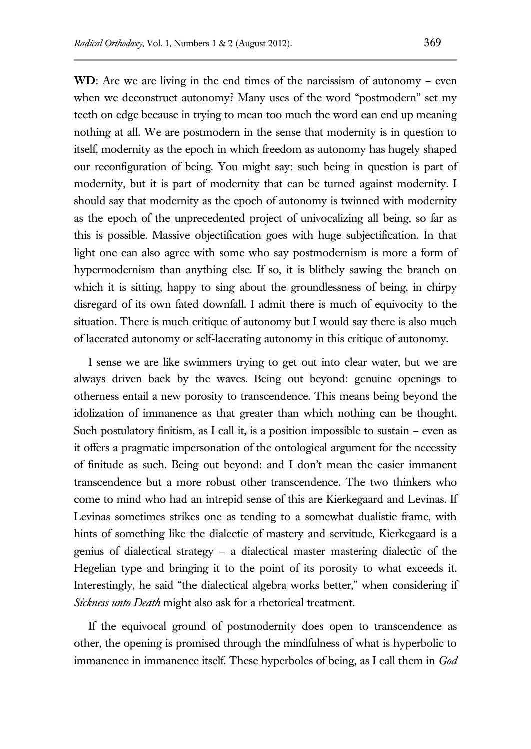**WD**: Are we are living in the end times of the narcissism of autonomy – even when we deconstruct autonomy? Many uses of the word "postmodern" set my teeth on edge because in trying to mean too much the word can end up meaning nothing at all. We are postmodern in the sense that modernity is in question to itself, modernity as the epoch in which freedom as autonomy has hugely shaped our reconfiguration of being. You might say: such being in question is part of modernity, but it is part of modernity that can be turned against modernity. I should say that modernity as the epoch of autonomy is twinned with modernity as the epoch of the unprecedented project of univocalizing all being, so far as this is possible. Massive objectification goes with huge subjectification. In that light one can also agree with some who say postmodernism is more a form of hypermodernism than anything else. If so, it is blithely sawing the branch on which it is sitting, happy to sing about the groundlessness of being, in chirpy disregard of its own fated downfall. I admit there is much of equivocity to the situation. There is much critique of autonomy but I would say there is also much of lacerated autonomy or self-lacerating autonomy in this critique of autonomy.

I sense we are like swimmers trying to get out into clear water, but we are always driven back by the waves. Being out beyond: genuine openings to otherness entail a new porosity to transcendence. This means being beyond the idolization of immanence as that greater than which nothing can be thought. Such postulatory finitism, as I call it, is a position impossible to sustain – even as it offers a pragmatic impersonation of the ontological argument for the necessity of finitude as such. Being out beyond: and I don't mean the easier immanent transcendence but a more robust other transcendence. The two thinkers who come to mind who had an intrepid sense of this are Kierkegaard and Levinas. If Levinas sometimes strikes one as tending to a somewhat dualistic frame, with hints of something like the dialectic of mastery and servitude, Kierkegaard is a genius of dialectical strategy – a dialectical master mastering dialectic of the Hegelian type and bringing it to the point of its porosity to what exceeds it. Interestingly, he said "the dialectical algebra works better," when considering if *Sickness unto Death* might also ask for a rhetorical treatment.

If the equivocal ground of postmodernity does open to transcendence as other, the opening is promised through the mindfulness of what is hyperbolic to immanence in immanence itself. These hyperboles of being, as I call them in *God*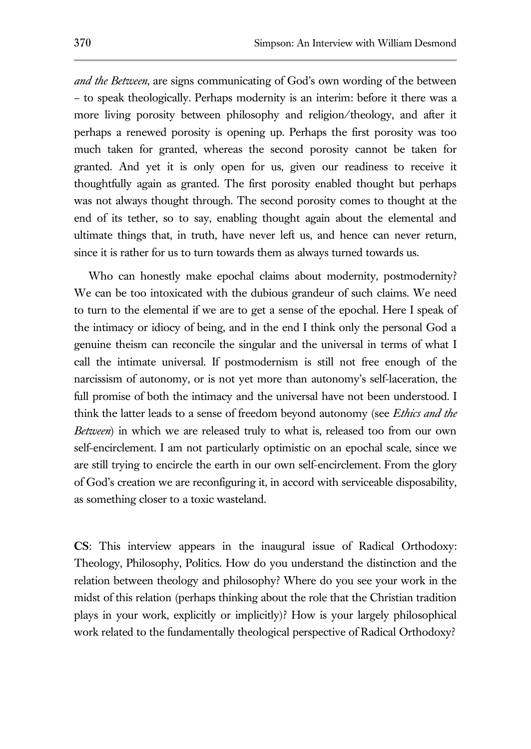*and the Between*, are signs communicating of God's own wording of the between – to speak theologically. Perhaps modernity is an interim: before it there was a more living porosity between philosophy and religion/theology, and after it perhaps a renewed porosity is opening up. Perhaps the first porosity was too much taken for granted, whereas the second porosity cannot be taken for granted. And yet it is only open for us, given our readiness to receive it thoughtfully again as granted. The first porosity enabled thought but perhaps was not always thought through. The second porosity comes to thought at the end of its tether, so to say, enabling thought again about the elemental and ultimate things that, in truth, have never left us, and hence can never return, since it is rather for us to turn towards them as always turned towards us.

Who can honestly make epochal claims about modernity, postmodernity? We can be too intoxicated with the dubious grandeur of such claims. We need to turn to the elemental if we are to get a sense of the epochal. Here I speak of the intimacy or idiocy of being, and in the end I think only the personal God a genuine theism can reconcile the singular and the universal in terms of what I call the intimate universal. If postmodernism is still not free enough of the narcissism of autonomy, or is not yet more than autonomy's self-laceration, the full promise of both the intimacy and the universal have not been understood. I think the latter leads to a sense of freedom beyond autonomy (see *Ethics and the Between*) in which we are released truly to what is, released too from our own self-encirclement. I am not particularly optimistic on an epochal scale, since we are still trying to encircle the earth in our own self-encirclement. From the glory of God's creation we are reconfiguring it, in accord with serviceable disposability, as something closer to a toxic wasteland.

**CS**: This interview appears in the inaugural issue of Radical Orthodoxy: Theology, Philosophy, Politics. How do you understand the distinction and the relation between theology and philosophy? Where do you see your work in the midst of this relation (perhaps thinking about the role that the Christian tradition plays in your work, explicitly or implicitly)? How is your largely philosophical work related to the fundamentally theological perspective of Radical Orthodoxy?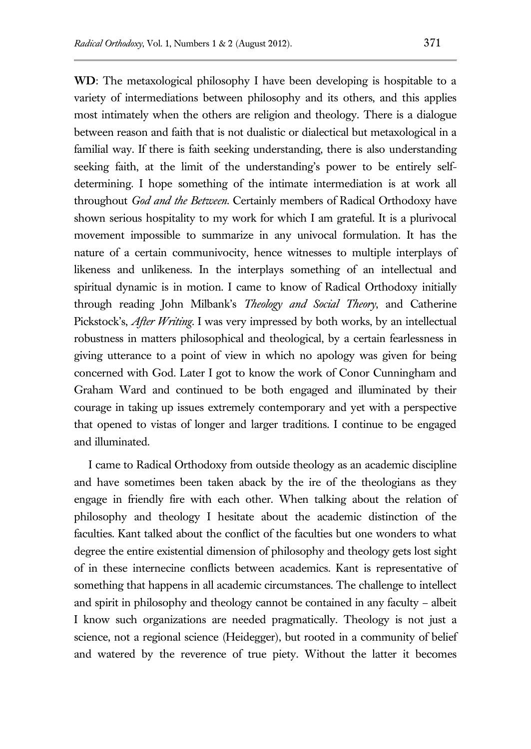**WD**: The metaxological philosophy I have been developing is hospitable to a variety of intermediations between philosophy and its others, and this applies most intimately when the others are religion and theology. There is a dialogue between reason and faith that is not dualistic or dialectical but metaxological in a familial way. If there is faith seeking understanding, there is also understanding seeking faith, at the limit of the understanding's power to be entirely selfdetermining. I hope something of the intimate intermediation is at work all throughout *God and the Between*. Certainly members of Radical Orthodoxy have shown serious hospitality to my work for which I am grateful. It is a plurivocal movement impossible to summarize in any univocal formulation. It has the nature of a certain communivocity, hence witnesses to multiple interplays of likeness and unlikeness. In the interplays something of an intellectual and spiritual dynamic is in motion. I came to know of Radical Orthodoxy initially through reading John Milbank's *Theology and Social Theory*, and Catherine Pickstock's, *After Writing*. I was very impressed by both works, by an intellectual robustness in matters philosophical and theological, by a certain fearlessness in giving utterance to a point of view in which no apology was given for being concerned with God. Later I got to know the work of Conor Cunningham and Graham Ward and continued to be both engaged and illuminated by their courage in taking up issues extremely contemporary and yet with a perspective that opened to vistas of longer and larger traditions. I continue to be engaged and illuminated.

I came to Radical Orthodoxy from outside theology as an academic discipline and have sometimes been taken aback by the ire of the theologians as they engage in friendly fire with each other. When talking about the relation of philosophy and theology I hesitate about the academic distinction of the faculties. Kant talked about the conflict of the faculties but one wonders to what degree the entire existential dimension of philosophy and theology gets lost sight of in these internecine conflicts between academics. Kant is representative of something that happens in all academic circumstances. The challenge to intellect and spirit in philosophy and theology cannot be contained in any faculty – albeit I know such organizations are needed pragmatically. Theology is not just a science, not a regional science (Heidegger), but rooted in a community of belief and watered by the reverence of true piety. Without the latter it becomes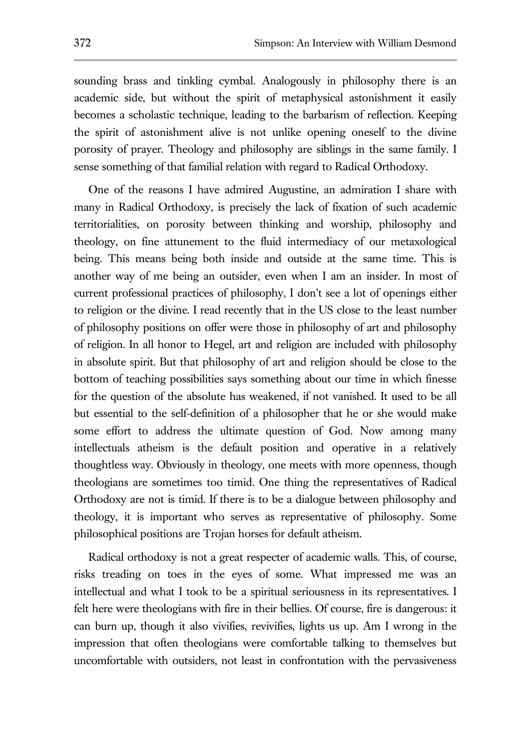sounding brass and tinkling cymbal. Analogously in philosophy there is an academic side, but without the spirit of metaphysical astonishment it easily becomes a scholastic technique, leading to the barbarism of reflection. Keeping the spirit of astonishment alive is not unlike opening oneself to the divine porosity of prayer. Theology and philosophy are siblings in the same family. I sense something of that familial relation with regard to Radical Orthodoxy.

One of the reasons I have admired Augustine, an admiration I share with many in Radical Orthodoxy, is precisely the lack of fixation of such academic territorialities, on porosity between thinking and worship, philosophy and theology, on fine attunement to the fluid intermediacy of our metaxological being. This means being both inside and outside at the same time. This is another way of me being an outsider, even when I am an insider. In most of current professional practices of philosophy, I don't see a lot of openings either to religion or the divine. I read recently that in the US close to the least number of philosophy positions on offer were those in philosophy of art and philosophy of religion. In all honor to Hegel, art and religion are included with philosophy in absolute spirit. But that philosophy of art and religion should be close to the bottom of teaching possibilities says something about our time in which finesse for the question of the absolute has weakened, if not vanished. It used to be all but essential to the self-definition of a philosopher that he or she would make some effort to address the ultimate question of God. Now among many intellectuals atheism is the default position and operative in a relatively thoughtless way. Obviously in theology, one meets with more openness, though theologians are sometimes too timid. One thing the representatives of Radical Orthodoxy are not is timid. If there is to be a dialogue between philosophy and theology, it is important who serves as representative of philosophy. Some philosophical positions are Trojan horses for default atheism.

Radical orthodoxy is not a great respecter of academic walls. This, of course, risks treading on toes in the eyes of some. What impressed me was an intellectual and what I took to be a spiritual seriousness in its representatives. I felt here were theologians with fire in their bellies. Of course, fire is dangerous: it can burn up, though it also vivifies, revivifies, lights us up. Am I wrong in the impression that often theologians were comfortable talking to themselves but uncomfortable with outsiders, not least in confrontation with the pervasiveness